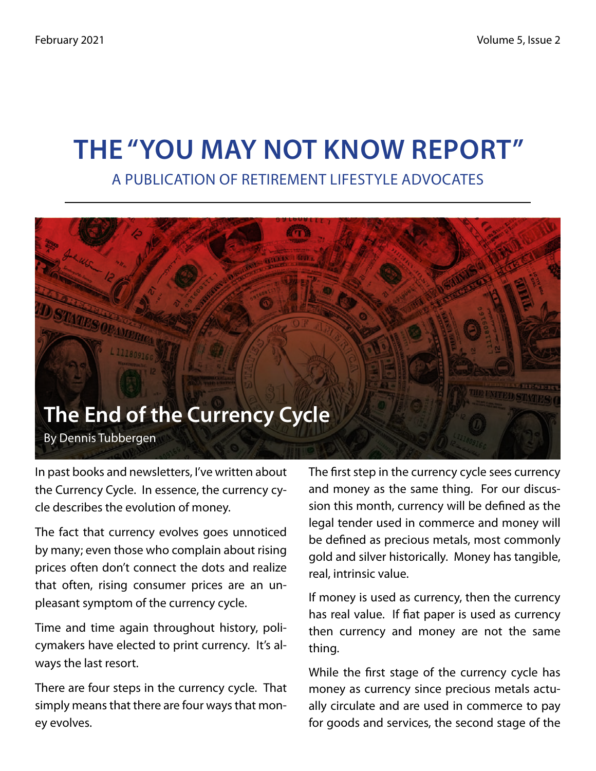# **The "You May Not Know Report"**

A Publication of Retirement Lifestyle Advocates



In past books and newsletters, I've written about the Currency Cycle. In essence, the currency cycle describes the evolution of money.

The fact that currency evolves goes unnoticed by many; even those who complain about rising prices often don't connect the dots and realize that often, rising consumer prices are an unpleasant symptom of the currency cycle.

Time and time again throughout history, policymakers have elected to print currency. It's always the last resort.

There are four steps in the currency cycle. That simply means that there are four ways that money evolves.

The first step in the currency cycle sees currency and money as the same thing. For our discussion this month, currency will be defined as the legal tender used in commerce and money will be defined as precious metals, most commonly gold and silver historically. Money has tangible, real, intrinsic value.

If money is used as currency, then the currency has real value. If fiat paper is used as currency then currency and money are not the same thing.

While the first stage of the currency cycle has money as currency since precious metals actually circulate and are used in commerce to pay for goods and services, the second stage of the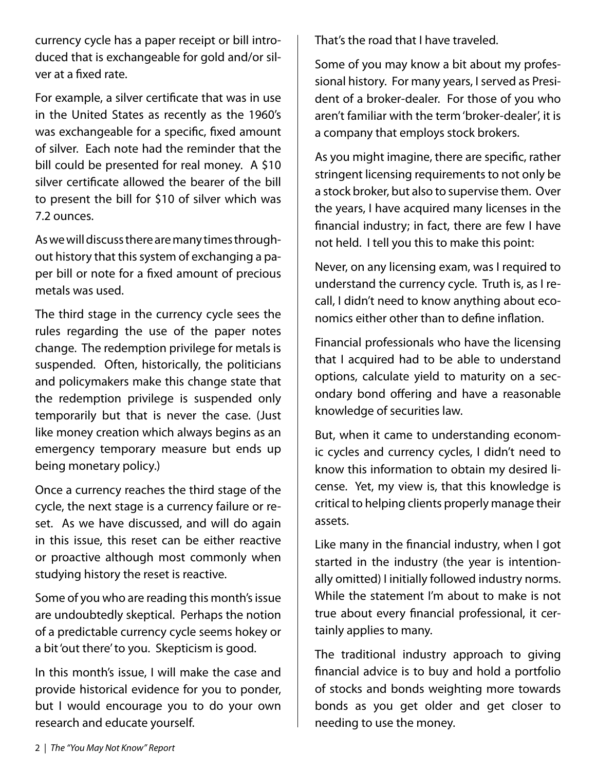currency cycle has a paper receipt or bill introduced that is exchangeable for gold and/or silver at a fixed rate.

For example, a silver certificate that was in use in the United States as recently as the 1960's was exchangeable for a specific, fixed amount of silver. Each note had the reminder that the bill could be presented for real money. A \$10 silver certificate allowed the bearer of the bill to present the bill for \$10 of silver which was 7.2 ounces.

As we will discuss there are many times throughout history that this system of exchanging a paper bill or note for a fixed amount of precious metals was used.

The third stage in the currency cycle sees the rules regarding the use of the paper notes change. The redemption privilege for metals is suspended. Often, historically, the politicians and policymakers make this change state that the redemption privilege is suspended only temporarily but that is never the case. (Just like money creation which always begins as an emergency temporary measure but ends up being monetary policy.)

Once a currency reaches the third stage of the cycle, the next stage is a currency failure or reset. As we have discussed, and will do again in this issue, this reset can be either reactive or proactive although most commonly when studying history the reset is reactive.

Some of you who are reading this month's issue are undoubtedly skeptical. Perhaps the notion of a predictable currency cycle seems hokey or a bit 'out there' to you. Skepticism is good.

In this month's issue, I will make the case and provide historical evidence for you to ponder, but I would encourage you to do your own research and educate yourself.

That's the road that I have traveled.

Some of you may know a bit about my professional history. For many years, I served as President of a broker-dealer. For those of you who aren't familiar with the term 'broker-dealer', it is a company that employs stock brokers.

As you might imagine, there are specific, rather stringent licensing requirements to not only be a stock broker, but also to supervise them. Over the years, I have acquired many licenses in the financial industry; in fact, there are few I have not held. I tell you this to make this point:

Never, on any licensing exam, was I required to understand the currency cycle. Truth is, as I recall, I didn't need to know anything about economics either other than to define inflation.

Financial professionals who have the licensing that I acquired had to be able to understand options, calculate yield to maturity on a secondary bond offering and have a reasonable knowledge of securities law.

But, when it came to understanding economic cycles and currency cycles, I didn't need to know this information to obtain my desired license. Yet, my view is, that this knowledge is critical to helping clients properly manage their assets.

Like many in the financial industry, when I got started in the industry (the year is intentionally omitted) I initially followed industry norms. While the statement I'm about to make is not true about every financial professional, it certainly applies to many.

The traditional industry approach to giving financial advice is to buy and hold a portfolio of stocks and bonds weighting more towards bonds as you get older and get closer to needing to use the money.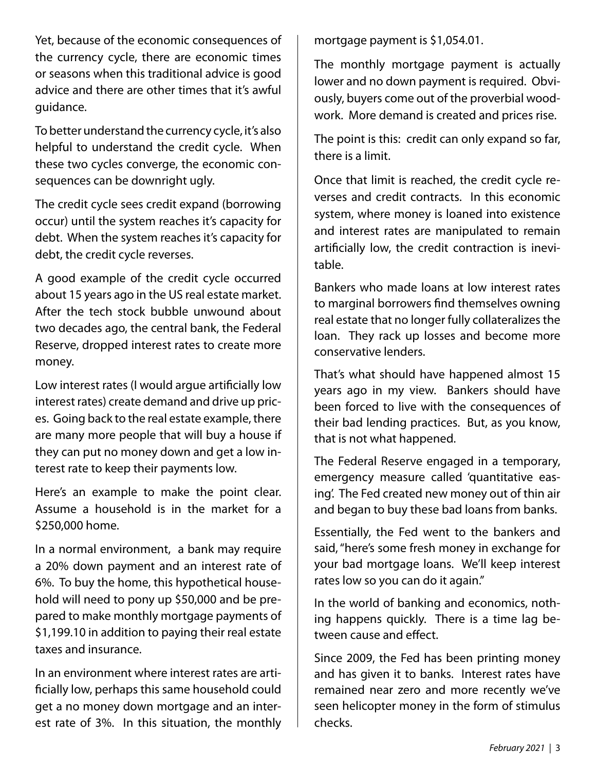Yet, because of the economic consequences of the currency cycle, there are economic times or seasons when this traditional advice is good advice and there are other times that it's awful guidance.

To better understand the currency cycle, it's also helpful to understand the credit cycle. When these two cycles converge, the economic consequences can be downright ugly.

The credit cycle sees credit expand (borrowing occur) until the system reaches it's capacity for debt. When the system reaches it's capacity for debt, the credit cycle reverses.

A good example of the credit cycle occurred about 15 years ago in the US real estate market. After the tech stock bubble unwound about two decades ago, the central bank, the Federal Reserve, dropped interest rates to create more money.

Low interest rates (I would argue artificially low interest rates) create demand and drive up prices. Going back to the real estate example, there are many more people that will buy a house if they can put no money down and get a low interest rate to keep their payments low.

Here's an example to make the point clear. Assume a household is in the market for a \$250,000 home.

In a normal environment, a bank may require a 20% down payment and an interest rate of 6%. To buy the home, this hypothetical household will need to pony up \$50,000 and be prepared to make monthly mortgage payments of \$1,199.10 in addition to paying their real estate taxes and insurance.

In an environment where interest rates are artificially low, perhaps this same household could get a no money down mortgage and an interest rate of 3%. In this situation, the monthly mortgage payment is \$1,054.01.

The monthly mortgage payment is actually lower and no down payment is required. Obviously, buyers come out of the proverbial woodwork. More demand is created and prices rise.

The point is this: credit can only expand so far, there is a limit.

Once that limit is reached, the credit cycle reverses and credit contracts. In this economic system, where money is loaned into existence and interest rates are manipulated to remain artificially low, the credit contraction is inevitable.

Bankers who made loans at low interest rates to marginal borrowers find themselves owning real estate that no longer fully collateralizes the loan. They rack up losses and become more conservative lenders.

That's what should have happened almost 15 years ago in my view. Bankers should have been forced to live with the consequences of their bad lending practices. But, as you know, that is not what happened.

The Federal Reserve engaged in a temporary, emergency measure called 'quantitative easing'. The Fed created new money out of thin air and began to buy these bad loans from banks.

Essentially, the Fed went to the bankers and said, "here's some fresh money in exchange for your bad mortgage loans. We'll keep interest rates low so you can do it again."

In the world of banking and economics, nothing happens quickly. There is a time lag between cause and effect.

Since 2009, the Fed has been printing money and has given it to banks. Interest rates have remained near zero and more recently we've seen helicopter money in the form of stimulus checks.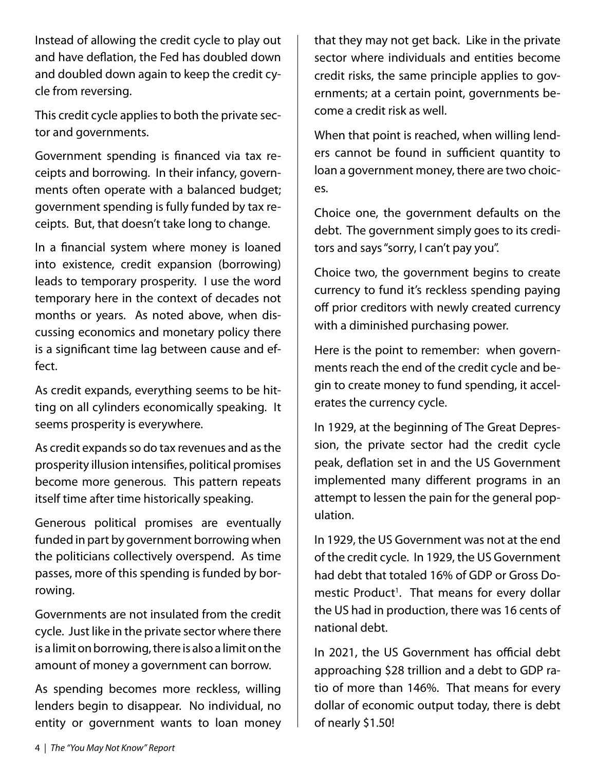Instead of allowing the credit cycle to play out and have deflation, the Fed has doubled down and doubled down again to keep the credit cycle from reversing.

This credit cycle applies to both the private sector and governments.

Government spending is financed via tax receipts and borrowing. In their infancy, governments often operate with a balanced budget; government spending is fully funded by tax receipts. But, that doesn't take long to change.

In a financial system where money is loaned into existence, credit expansion (borrowing) leads to temporary prosperity. I use the word temporary here in the context of decades not months or years. As noted above, when discussing economics and monetary policy there is a significant time lag between cause and effect.

As credit expands, everything seems to be hitting on all cylinders economically speaking. It seems prosperity is everywhere.

As credit expands so do tax revenues and as the prosperity illusion intensifies, political promises become more generous. This pattern repeats itself time after time historically speaking.

Generous political promises are eventually funded in part by government borrowing when the politicians collectively overspend. As time passes, more of this spending is funded by borrowing.

Governments are not insulated from the credit cycle. Just like in the private sector where there is a limit on borrowing, there is also a limit on the amount of money a government can borrow.

As spending becomes more reckless, willing lenders begin to disappear. No individual, no entity or government wants to loan money

that they may not get back. Like in the private sector where individuals and entities become credit risks, the same principle applies to governments; at a certain point, governments become a credit risk as well.

When that point is reached, when willing lenders cannot be found in sufficient quantity to loan a government money, there are two choices.

Choice one, the government defaults on the debt. The government simply goes to its creditors and says "sorry, I can't pay you".

Choice two, the government begins to create currency to fund it's reckless spending paying off prior creditors with newly created currency with a diminished purchasing power.

Here is the point to remember: when governments reach the end of the credit cycle and begin to create money to fund spending, it accelerates the currency cycle.

In 1929, at the beginning of The Great Depression, the private sector had the credit cycle peak, deflation set in and the US Government implemented many different programs in an attempt to lessen the pain for the general population.

In 1929, the US Government was not at the end of the credit cycle. In 1929, the US Government had debt that totaled 16% of GDP or Gross Domestic Product<sup>1</sup>. That means for every dollar the US had in production, there was 16 cents of national debt.

In 2021, the US Government has official debt approaching \$28 trillion and a debt to GDP ratio of more than 146%. That means for every dollar of economic output today, there is debt of nearly \$1.50!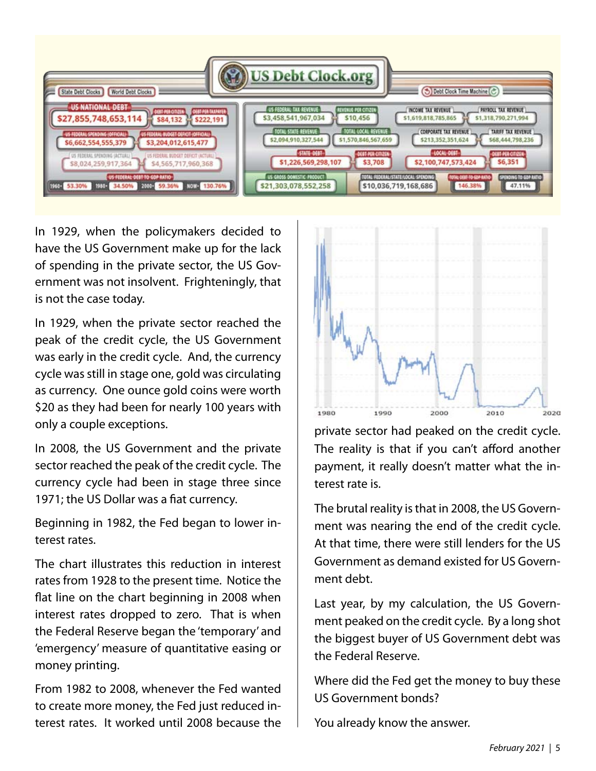

In 1929, when the policymakers decided to have the US Government make up for the lack of spending in the private sector, the US Government was not insolvent. Frighteningly, that is not the case today.

In 1929, when the private sector reached the peak of the credit cycle, the US Government was early in the credit cycle. And, the currency cycle was still in stage one, gold was circulating as currency. One ounce gold coins were worth \$20 as they had been for nearly 100 years with only a couple exceptions.

In 2008, the US Government and the private sector reached the peak of the credit cycle. The currency cycle had been in stage three since 1971; the US Dollar was a fiat currency.

Beginning in 1982, the Fed began to lower interest rates.

The chart illustrates this reduction in interest rates from 1928 to the present time. Notice the flat line on the chart beginning in 2008 when interest rates dropped to zero. That is when the Federal Reserve began the 'temporary' and 'emergency' measure of quantitative easing or money printing.

From 1982 to 2008, whenever the Fed wanted to create more money, the Fed just reduced interest rates. It worked until 2008 because the



private sector had peaked on the credit cycle. The reality is that if you can't afford another payment, it really doesn't matter what the interest rate is.

The brutal reality is that in 2008, the US Government was nearing the end of the credit cycle. At that time, there were still lenders for the US Government as demand existed for US Government debt.

Last year, by my calculation, the US Government peaked on the credit cycle. By a long shot the biggest buyer of US Government debt was the Federal Reserve.

Where did the Fed get the money to buy these US Government bonds?

You already know the answer.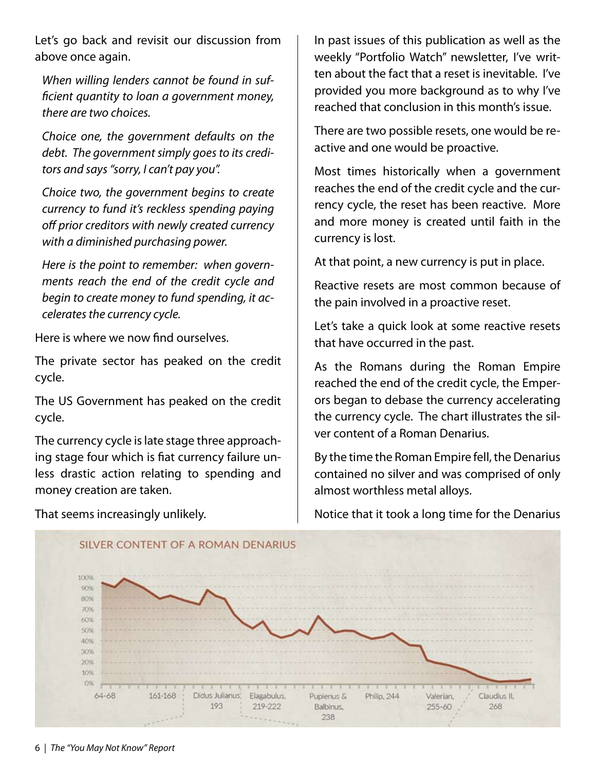Let's go back and revisit our discussion from above once again.

*When willing lenders cannot be found in sufficient quantity to loan a government money, there are two choices.*

*Choice one, the government defaults on the debt. The government simply goes to its creditors and says "sorry, I can't pay you".*

*Choice two, the government begins to create currency to fund it's reckless spending paying off prior creditors with newly created currency with a diminished purchasing power.*

*Here is the point to remember: when governments reach the end of the credit cycle and begin to create money to fund spending, it accelerates the currency cycle.*

Here is where we now find ourselves.

The private sector has peaked on the credit cycle.

The US Government has peaked on the credit cycle.

The currency cycle is late stage three approaching stage four which is fiat currency failure unless drastic action relating to spending and money creation are taken.

That seems increasingly unlikely.

In past issues of this publication as well as the weekly "Portfolio Watch" newsletter, I've written about the fact that a reset is inevitable. I've provided you more background as to why I've reached that conclusion in this month's issue.

There are two possible resets, one would be reactive and one would be proactive.

Most times historically when a government reaches the end of the credit cycle and the currency cycle, the reset has been reactive. More and more money is created until faith in the currency is lost.

At that point, a new currency is put in place.

Reactive resets are most common because of the pain involved in a proactive reset.

Let's take a quick look at some reactive resets that have occurred in the past.

As the Romans during the Roman Empire reached the end of the credit cycle, the Emperors began to debase the currency accelerating the currency cycle. The chart illustrates the silver content of a Roman Denarius.

By the time the Roman Empire fell, the Denarius contained no silver and was comprised of only almost worthless metal alloys.



Notice that it took a long time for the Denarius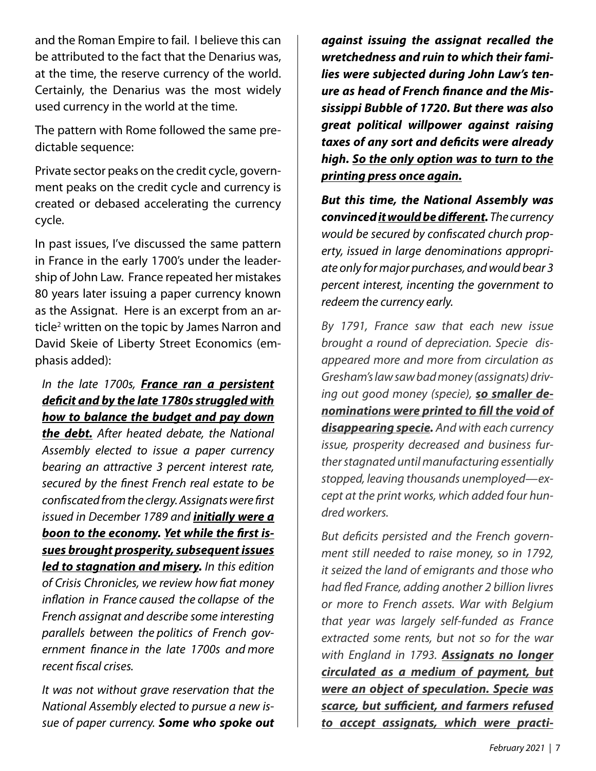and the Roman Empire to fail. I believe this can be attributed to the fact that the Denarius was, at the time, the reserve currency of the world. Certainly, the Denarius was the most widely used currency in the world at the time.

The pattern with Rome followed the same predictable sequence:

Private sector peaks on the credit cycle, government peaks on the credit cycle and currency is created or debased accelerating the currency cycle.

In past issues, I've discussed the same pattern in France in the early 1700's under the leadership of John Law. France repeated her mistakes 80 years later issuing a paper currency known as the Assignat. Here is an excerpt from an article<sup>2</sup> written on the topic by James Narron and David Skeie of Liberty Street Economics (emphasis added):

#### *In the late 1700s, France ran a persistent deficit and by the late 1780s struggled with how to balance the budget and pay down*

*the debt. After heated debate, the National Assembly elected to issue a paper currency bearing an attractive 3 percent interest rate, secured by the finest French real estate to be confiscated from the clergy. Assignats were first issued in December 1789 and initially were a boon to the economy. Yet while the first issues brought prosperity, subsequent issues led to stagnation and misery. In this edition of Crisis Chronicles, we review how fiat money inflation in France caused the collapse of the French assignat and describe some interesting parallels between the politics of French government finance in the late 1700s and more recent fiscal crises.*

*It was not without grave reservation that the National Assembly elected to pursue a new issue of paper currency. Some who spoke out* 

*against issuing the assignat recalled the wretchedness and ruin to which their families were subjected during John Law's tenure as head of French finance and the Mississippi Bubble of 1720. But there was also great political willpower against raising taxes of any sort and deficits were already high. So the only option was to turn to the printing press once again.*

*But this time, the National Assembly was convinced it would be different. The currency would be secured by confiscated church property, issued in large denominations appropriate only for major purchases, and would bear 3 percent interest, incenting the government to redeem the currency early.*

*By 1791, France saw that each new issue brought a round of depreciation. Specie disappeared more and more from circulation as Gresham's law saw bad money (assignats) driving out good money (specie), so smaller denominations were printed to fill the void of disappearing specie. And with each currency issue, prosperity decreased and business further stagnated until manufacturing essentially stopped, leaving thousands unemployed—except at the print works, which added four hundred workers.*

*But deficits persisted and the French government still needed to raise money, so in 1792, it seized the land of emigrants and those who had fled France, adding another 2 billion livres or more to French assets. War with Belgium that year was largely self-funded as France extracted some rents, but not so for the war with England in 1793. Assignats no longer circulated as a medium of payment, but were an object of speculation. Specie was scarce, but sufficient, and farmers refused to accept assignats, which were practi-*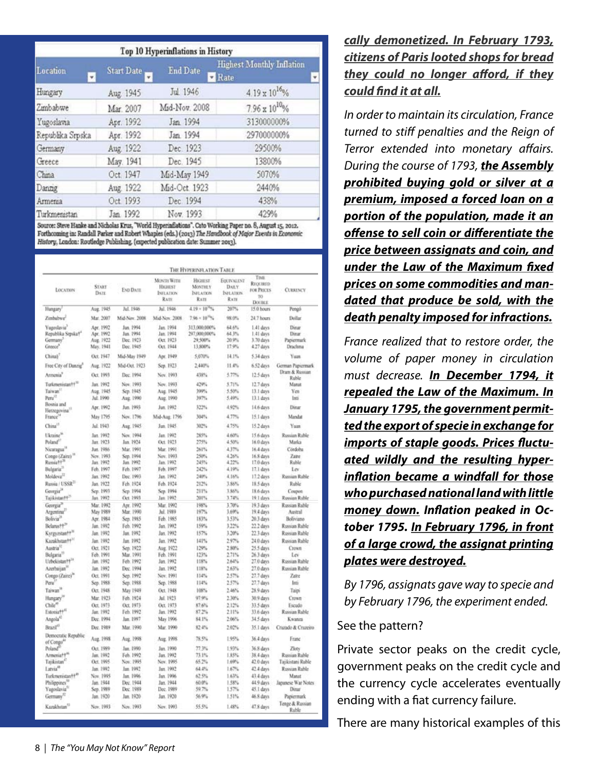|                  | Top 10 Hyperinflations in History |                 |                                                       |  |  |  |  |  |  |
|------------------|-----------------------------------|-----------------|-------------------------------------------------------|--|--|--|--|--|--|
| Location<br>¥    | <b>Start Date</b><br>۳            | <b>End Date</b> | <b>Highest Monthly Inflation</b><br>$\n  Rate\n$<br>× |  |  |  |  |  |  |
| Hungary          | Aug. 1945                         | Jul. 1946       | $4.19 \times 10^{16}$ %                               |  |  |  |  |  |  |
| Zimbabwe         | Mar. 2007                         | Mid-Nov. 2008   | $7.96 \times 10^{10}$ %                               |  |  |  |  |  |  |
| Yugoslavia       | Apr. 1992                         | Jan 1994        | 313000000%                                            |  |  |  |  |  |  |
| Republika Srpska | Apr. 1992                         | Jan. 1994       | 297000000%                                            |  |  |  |  |  |  |
| Germany          | Aug. 1922                         | Dec. 1923       | 29500%                                                |  |  |  |  |  |  |
| Greece           | May. 1941                         | Dec. 1945       | 13800%                                                |  |  |  |  |  |  |
| China            | Oct. 1947                         | Mid-May 1949    | 5070%                                                 |  |  |  |  |  |  |
| Danzig           | Aug. 1922                         | Mid-Oct. 1923   | 2440%                                                 |  |  |  |  |  |  |
| Armenia          | Oct. 1993                         | Dec. 1994       | 438%                                                  |  |  |  |  |  |  |
| Turkmenistan     | Jan. 1992                         | Nov. 1993       | 429%                                                  |  |  |  |  |  |  |

Source: Steve Hanke and Nicholas Krus, "World Hyperinflations". Cato Working Paper no. 8, August 15, 2012. Forthcoming in: Randall Parker and Robert Whaples (eds.) (2013) The Handbook of Major Events in Economic History, London: Routledge Publishing, (expected publication date: Summer 2013).

| LOCATION                                              | <b>START</b><br>DATE   | <b>END DATE</b>        | MONTH WITH<br><b>Hxaust</b><br><b>INFLATION</b><br><b>RATE</b> | <b>HIGHEST</b><br><b>MONTHLY</b><br>INFLATION<br>RATE | <b>EQUIVALINT</b><br>DAILY<br><b>INFLATION</b><br>RATE | This<br>RECEIRED<br>FOR PRICES<br>TO<br><b>DOUBLE</b> | <b>CURRENCY</b>          |
|-------------------------------------------------------|------------------------|------------------------|----------------------------------------------------------------|-------------------------------------------------------|--------------------------------------------------------|-------------------------------------------------------|--------------------------|
| Hungary <sup>®</sup>                                  | Aug. 1945              | Jul. 1946              | Jul. 1946                                                      | $4.19 \times 10^{16}$ %                               | 207%                                                   | 15.0 hours                                            | Pengó                    |
| Zimbabwe <sup>2</sup>                                 | Mar. 2007              | Mid-Nov. 2008          | Mid-Nov. 2008                                                  | $7.96 \times 10^{-6}$                                 | 98.0%                                                  | 24.7 hours                                            | Dollar                   |
|                                                       |                        |                        |                                                                |                                                       |                                                        |                                                       |                          |
| Yugoslavia <sup>3</sup><br>Republika Srpska!"         | Apr. 1992<br>Apr. 1992 | Jan. 1994<br>Jan. 1994 | Jan. 1994<br>Jan. 1994                                         | 313,000,000%<br>297,000,000%                          | 64.6%<br>64.3%                                         | 1.41 days<br>1.41 days                                | Dinar<br>Dinar           |
| Germany <sup>3</sup>                                  | Aug. 1922              | Dec. 1923              | Oct. 1923                                                      | 29,500%                                               | 20.9%                                                  | 3.70 days                                             | Papiermark               |
| Greece <sup>3</sup>                                   | May. 1941              | Dec. 1945              | Oct. 1944                                                      | 13,800%                                               | 17.9%                                                  | 4.27 days                                             | Drachma                  |
| China§ <sup>1</sup>                                   | Oct. 1947              | Mid-May 1949           | Apr. 1949                                                      | 5,070%                                                | 14.1%                                                  | 5.34 days                                             | Yuan                     |
| Free City of Danzig"                                  | Aug. 1922              | Mid-Oct. 1923          | Sep. 1923                                                      | 2,440%                                                | 11.4%                                                  | 6.52 days                                             | German Papiermark        |
| Armenia <sup>7</sup>                                  | Oct. 1993              | Dec. 1994              | Nov. 1993                                                      | 438%                                                  | 5.77%                                                  | 12.5 days                                             | Dram & Russian<br>Ruble  |
| Turkmenistan <sup>9431</sup>                          | Jan. 1992              | Nov. 1993              | Nev. 1993                                                      | 429%                                                  | 5.71%                                                  | 12.7 days                                             | Manat                    |
| Taiwan <sup>11</sup>                                  | Aug. 1945              | Sep. 1945              | Aug. 1945                                                      | 399%                                                  | 5.50%                                                  | 13.1 days                                             | Yen                      |
| Peru <sup>17</sup>                                    | Jul. 1990              | Aug. 1990              | Aug. 1990                                                      | 397%                                                  | 5.49%                                                  | 13.1 days                                             | Inni                     |
| Bosnia and                                            | Арг. 1992              | Jun. 1993              | Jun. 1992                                                      | 322%                                                  | 4.92%                                                  | 14.6 days                                             | Dinar                    |
| Herzegovina <sup>11</sup><br>France <sup>14</sup>     | May 1795               | Nov. 1796              | Mid-Aug. 1796                                                  | 384%                                                  | 4.77%                                                  | 15.1 days                                             | Mandat                   |
| China <sup>13</sup>                                   | Jul. 1943              | Aug. 1945              | Jan. 1945                                                      | 302%                                                  | 4.75%                                                  | 15.2 days                                             | Yuan                     |
| Ukraine <sup>16</sup>                                 | Jan. 1992              | Nev. 1994              | Jan. 1992                                                      | 285%                                                  | 4,60%                                                  |                                                       | Russian Ruble            |
| Poland <sup>11</sup>                                  | Jan. 1923              | Jan. 1924              | Oct. 1923                                                      | 275%                                                  | 4.50%                                                  | 15.6 days                                             | Marka                    |
|                                                       | Jun. 1986              | Mar. 1991              | Mar. 1991                                                      | 261%                                                  | 4.37%                                                  | 16.0 days<br>16.4 days                                | Córdoba                  |
| Nicaragua <sup>11</sup>                               | Nov. 1993              | Sep. 1994              | Nev. 1993                                                      | 250%                                                  | 4.26%                                                  | 16.8 days                                             | Zaine                    |
| Congo (Zainz) <sup>18</sup><br>Russia H <sup>38</sup> | Jan. 1992              | Jan. 1992              | Jan. 1992                                                      | 245%                                                  | 4.22%                                                  | 17.0 days                                             | Ruble                    |
| Bulgaria <sup>11</sup>                                | Feb. 1997              | Feb. 1997              | Feb. 1997                                                      | 242%                                                  | 4.19%                                                  | 17.1 days                                             | Lev                      |
| Moldova <sup>11</sup>                                 | Jan. 1992              | Dec. 1993              | Jan. 1992                                                      | 240%                                                  | 4,16%                                                  | 17.2 days                                             | Russian Ruble            |
| Russia / USSR21                                       | Jan. 1922              | Feb. 1924              | Feb. 1924                                                      | 212%                                                  | 3.86%                                                  | 18.5 days                                             | Ruble                    |
| Georgia <sup>34</sup>                                 | Sep. 1993              | Sep 1994               | Sep. 1994                                                      | 211%                                                  | 1.86%                                                  | 18.6 days                                             | Coupon                   |
| Tajikistan# <sup>25</sup>                             | Jan. 1992              | Oct. 1993              | Jan 1992                                                       | 201%                                                  | 3.74%                                                  | 19.1 days                                             | Rossian Ruble            |
| Georgia                                               | Mar. 1992              | Apr. 1992              | Mar 1992                                                       | 198%                                                  | 3.70%                                                  | 19.3 days                                             | Russan Ruble             |
| Argentina <sup>21</sup>                               | May 1989               | Mar. 1990              | Jul. 1989                                                      | 197%                                                  | 3,69%                                                  | 19.4 days                                             | Austral                  |
| Bolivia <sup>28</sup>                                 | Apr. 1984              | Sep. 1985              | Feb. 1985                                                      | 183%                                                  | 1.53%                                                  | 20.3 days                                             | Boliviano                |
| Belarus <sup>++29</sup>                               | Jan. 1992              | Feb. 1992              | Jan. 1992                                                      | 159%                                                  | 3.22%                                                  | 22.2 days                                             | Russian Ruble            |
| Kyrgyzstan <sup>++*</sup>                             | Jan. 1992              | Jan. 1992              | Jan. 1992                                                      | 157%                                                  | 3.20%                                                  | 22.3 days                                             | Russian Ruble            |
| Kazakhstan <sup>++1</sup>                             | Jan. 1992              | Jan. 1992              | Jan. 1992                                                      | 141%                                                  | 2.97%                                                  | 24.0 days                                             | Russian Ruble            |
| Austria <sup>12</sup>                                 | Oct. 1921              | Sep. 1922              | Aug. 1922                                                      | 129%                                                  | 2.80%                                                  | 25.5 days                                             | Crown                    |
| Bulgaria <sup>13</sup>                                | Feb. 1991              | Mar. 1991              | Feb. 1991                                                      | 123%                                                  | 2.71%                                                  | $26.3$ days                                           | Lev                      |
| Uzbekistan??"                                         | Jan. 1992              | Feb. 1992              | Jan. 1992                                                      | 118%                                                  | 2.64%                                                  | 27.0 days                                             | Russian Ruble            |
| Azerbaijan <sup>11</sup>                              | Jan. 1992              | Dec. 1994              | Jan. 1992                                                      | 118%                                                  | 2.63%                                                  | 27.0 days                                             | Russian Ruble            |
| Congo (Zaire)"                                        | Oct. 1991              | Sep. 1992              | Nov. 1991                                                      | 114%                                                  | 2.57%                                                  | 27.7 days                                             | Zaite                    |
| Peru <sup>1</sup>                                     | Sep. 1988              | Sep. 1988              | Sep. 1988                                                      | 114%                                                  | 2.37%                                                  | 27.7 days                                             | Inti                     |
| Taiwan <sup>18</sup>                                  | Oct. 1948              | May 1949               | Oct. 1948                                                      | 108%                                                  | 2.46%                                                  | 28.9 days                                             | Taipi                    |
| Hungary <sup>10</sup>                                 | Mar. 1923              | Feb. 1924              | Jul. 1923                                                      | 97.9%                                                 | 2.30%                                                  | 30.9 days                                             | Crown                    |
| Chile"                                                | Oct. 1973              | Oct. 1973              | Oct. 1973                                                      | 87.6%                                                 | 2.12%                                                  | 33.5 days                                             | Escudo                   |
| Estopia 11 <sup>41</sup>                              | Jan. 1992              | Feb. 1992              | Jan. 1992                                                      | 87.2%                                                 | 2.11%                                                  | 33.6 days                                             | Russian Ruble            |
| Angola <sup>C</sup>                                   | Dec. 1994              | Jan. 1997              | May 1996                                                       | 84.1%                                                 | 2.06%                                                  | 34.5 days                                             | Kwanza                   |
| Brazil <sup>6</sup>                                   | Dec. 1989              | Mar. 1990              | Mar. 1990                                                      | 82.4%                                                 | 2.02%                                                  | 35.1 days                                             | Cruzado & Cruzeiro       |
| Democratic Republic<br>of Congo <sup>44</sup>         | Aug. 1998              | Аце. 1998              | Aug. 1998                                                      | 78.5%                                                 | 1.95%                                                  | 36.4 days                                             | Franc                    |
| Poland <sup>2</sup>                                   | Oct. 1989              | Jan. 1990              | Jan. 1990                                                      | 22.3%                                                 | 1,93%                                                  | 36.8 days                                             | Zloty                    |
| Armenia <sup>++**</sup>                               | Jan. 1992              | Feb. 1992              | Jan. 1992                                                      | 73.1%                                                 | 1.83%                                                  | 38.4 days                                             | Russian Ruble            |
| Tajikistan <sup>*</sup>                               | Oct. 1995              | Nov. 1995              | Nov. 1995                                                      | 65.2%                                                 | 1,69%                                                  | 42.0 days                                             | Taskistani Rable         |
| Latvia <sup>ta</sup>                                  | Jan. 1992              | Jan. 1992              | Jan. 1992                                                      | 64.4%                                                 | 1,67%                                                  | 42.4 days                                             | Russian Ruble            |
| Turkmenistan <sup>++46</sup>                          | Nov. 1995              | Jan. 1996              | Jan. 1996                                                      | 62.5%                                                 | 1.63%                                                  | 43.4 days                                             | Manat                    |
| Philippines <sup>1</sup>                              | Jan. 1944              | Dec. 1944              | Jan. 1944                                                      | 60.0%                                                 | 1,58%                                                  | 44.9 days                                             | Japanese War Notes       |
| Yugoslavia <sup>11</sup>                              | Sep. 1989              | Dec. 1989              | Dec. 1989                                                      | 59.7%                                                 | 137%                                                   | 45.1 days                                             | Dinar                    |
| Germany <sup>12</sup>                                 | Jan. 1920              | Jan. 1920              | Jan. 1920                                                      | 56.9%                                                 | 1.51%                                                  | 46.8 days                                             | Papiermark               |
| Kazakhstan <sup>11</sup>                              | Nov. 1993              | Nov. 1993              | Nov. 1993                                                      | 55.5%                                                 | 1.48%                                                  | 47.8 days                                             | Tenge & Russian<br>Ruble |

*cally demonetized. In February 1793, citizens of Paris looted shops for bread they could no longer afford, if they could find it at all.*

*In order to maintain its circulation, France turned to stiff penalties and the Reign of Terror extended into monetary affairs. During the course of 1793, the Assembly prohibited buying gold or silver at a premium, imposed a forced loan on a portion of the population, made it an offense to sell coin or differentiate the price between assignats and coin, and under the Law of the Maximum fixed prices on some commodities and mandated that produce be sold, with the death penalty imposed for infractions.*

*France realized that to restore order, the volume of paper money in circulation must decrease. In December 1794, it repealed the Law of the Maximum. In January 1795, the government permitted the export of specie in exchange for imports of staple goods. Prices fluctuated wildly and the resulting hyperinflation became a windfall for those who purchased national land with little money down. Inflation peaked in October 1795. In February 1796, in front of a large crowd, the assignat printing plates were destroyed.*

*By 1796, assignats gave way to specie and by February 1796, the experiment ended.* 

#### See the pattern?

Private sector peaks on the credit cycle, government peaks on the credit cycle and the currency cycle accelerates eventually ending with a fiat currency failure.

There are many historical examples of this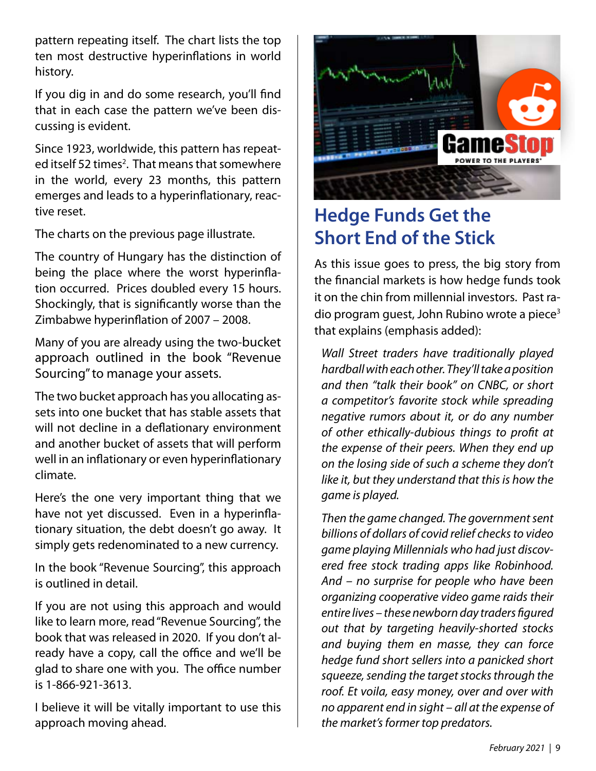pattern repeating itself. The chart lists the top ten most destructive hyperinflations in world history.

If you dig in and do some research, you'll find that in each case the pattern we've been discussing is evident.

Since 1923, worldwide, this pattern has repeated itself 52 times<sup>2</sup>. That means that somewhere in the world, every 23 months, this pattern emerges and leads to a hyperinflationary, reactive reset.

The charts on the previous page illustrate.

The country of Hungary has the distinction of being the place where the worst hyperinflation occurred. Prices doubled every 15 hours. Shockingly, that is significantly worse than the Zimbabwe hyperinflation of 2007 – 2008.

Many of you are already using the two-bucket approach outlined in the book "Revenue Sourcing" to manage your assets.

The two bucket approach has you allocating assets into one bucket that has stable assets that will not decline in a deflationary environment and another bucket of assets that will perform well in an inflationary or even hyperinflationary climate.

Here's the one very important thing that we have not yet discussed. Even in a hyperinflationary situation, the debt doesn't go away. It simply gets redenominated to a new currency.

In the book "Revenue Sourcing", this approach is outlined in detail.

If you are not using this approach and would like to learn more, read "Revenue Sourcing", the book that was released in 2020. If you don't already have a copy, call the office and we'll be glad to share one with you. The office number is 1-866-921-3613.

I believe it will be vitally important to use this approach moving ahead.



### **Hedge Funds Get the Short End of the Stick**

As this issue goes to press, the big story from the financial markets is how hedge funds took it on the chin from millennial investors. Past radio program guest, John Rubino wrote a piece<sup>3</sup> that explains (emphasis added):

*Wall Street traders have traditionally played hardball with each other. They'll take a position and then "talk their book" on CNBC, or short a competitor's favorite stock while spreading negative rumors about it, or do any number of other ethically-dubious things to profit at the expense of their peers. When they end up on the losing side of such a scheme they don't like it, but they understand that this is how the game is played.*

*Then the game changed. The government sent billions of dollars of covid relief checks to video game playing Millennials who had just discovered free stock trading apps like Robinhood. And – no surprise for people who have been organizing cooperative video game raids their entire lives – these newborn day traders figured out that by targeting heavily-shorted stocks and buying them en masse, they can force hedge fund short sellers into a panicked short squeeze, sending the target stocks through the roof. Et voila, easy money, over and over with no apparent end in sight – all at the expense of the market's former top predators.*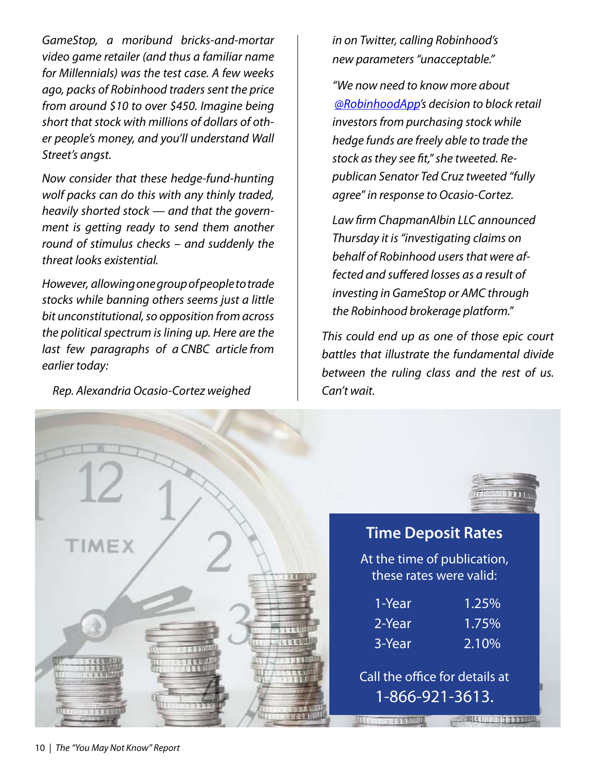*GameStop, a moribund bricks-and-mortar video game retailer (and thus a familiar name for Millennials) was the test case. A few weeks ago, packs of Robinhood traders sent the price from around \$10 to over \$450. Imagine being short that stock with millions of dollars of other people's money, and you'll understand Wall Street's angst.*

*Now consider that these hedge-fund-hunting wolf packs can do this with any thinly traded, heavily shorted stock — and that the government is getting ready to send them another round of stimulus checks – and suddenly the threat looks existential.*

*However, allowing one group of people to trade stocks while banning others seems just a little bit unconstitutional, so opposition from across the political spectrum is lining up. Here are the last few paragraphs of a CNBC article from earlier today:*

*Rep. Alexandria Ocasio-Cortez weighed* 

*in on Twitter, calling Robinhood's new parameters "unacceptable."*

*"We now need to know more about @RobinhoodApp's decision to block retail investors from purchasing stock while hedge funds are freely able to trade the stock as they see fit," she tweeted. Republican Senator Ted Cruz tweeted "fully agree" in response to Ocasio-Cortez.*

*Law firm ChapmanAlbin LLC announced Thursday it is "investigating claims on behalf of Robinhood users that were affected and suffered losses as a result of investing in GameStop or AMC through the Robinhood brokerage platform."*

*This could end up as one of those epic court battles that illustrate the fundamental divide between the ruling class and the rest of us. Can't wait.*

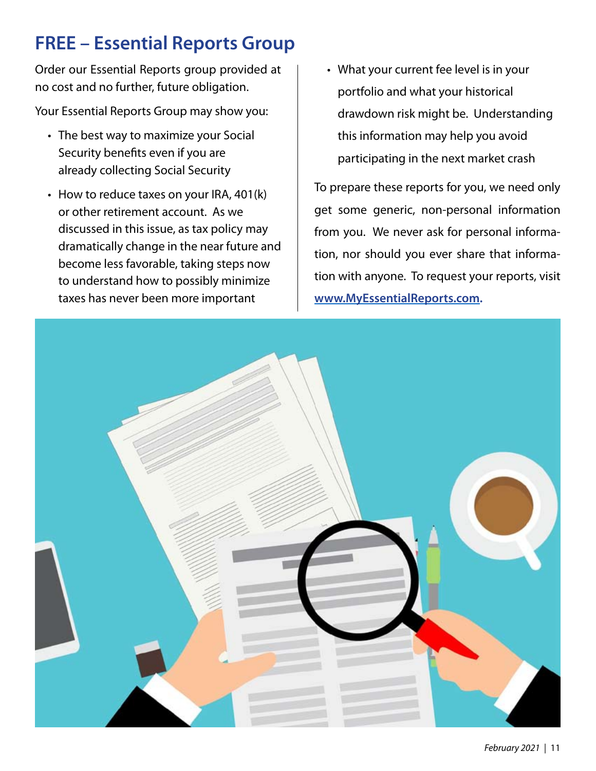## **FREE – Essential Reports Group**

Order our Essential Reports group provided at no cost and no further, future obligation.

Your Essential Reports Group may show you:

- The best way to maximize your Social Security benefits even if you are already collecting Social Security
- How to reduce taxes on your IRA, 401(k) or other retirement account. As we discussed in this issue, as tax policy may dramatically change in the near future and become less favorable, taking steps now to understand how to possibly minimize taxes has never been more important
- What your current fee level is in your •portfolio and what your historical drawdown risk might be. Understanding this information may help you avoid participating in the next market crash

To prepare these reports for you, we need only get some generic, non-personal information from you. We never ask for personal information, nor should you ever share that information with anyone. To request your reports, visit **www.MyEssentialReports.com.**